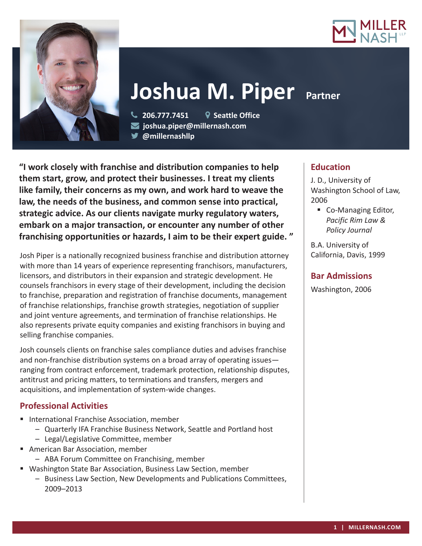



# **Joshua M. Piper Partner**

 **206.777.7451 Seattle Office joshua.piper@millernash.com** 

**@millernashllp**

**"I work closely with franchise and distribution companies to help them start, grow, and protect their businesses. I treat my clients like family, their concerns as my own, and work hard to weave the law, the needs of the business, and common sense into practical, strategic advice. As our clients navigate murky regulatory waters, embark on a major transaction, or encounter any number of other franchising opportunities or hazards, I aim to be their expert guide. "**

Josh Piper is a nationally recognized business franchise and distribution attorney with more than 14 years of experience representing franchisors, manufacturers, licensors, and distributors in their expansion and strategic development. He counsels franchisors in every stage of their development, including the decision to franchise, preparation and registration of franchise documents, management of franchise relationships, franchise growth strategies, negotiation of supplier and joint venture agreements, and termination of franchise relationships. He also represents private equity companies and existing franchisors in buying and selling franchise companies.

Josh counsels clients on franchise sales compliance duties and advises franchise and non-franchise distribution systems on a broad array of operating issues ranging from contract enforcement, trademark protection, relationship disputes, antitrust and pricing matters, to terminations and transfers, mergers and acquisitions, and implementation of system-wide changes.

# **Professional Activities**

- **International Franchise Association, member** 
	- Quarterly IFA Franchise Business Network, Seattle and Portland host
	- Legal/Legislative Committee, member
- American Bar Association, member
	- ABA Forum Committee on Franchising, member
- Washington State Bar Association, Business Law Section, member
	- Business Law Section, New Developments and Publications Committees, 2009–2013

## **Education**

J. D., University of Washington School of Law, 2006

■ Co-Managing Editor, *Pacific Rim Law & Policy Journal*

B.A. University of California, Davis, 1999

## **Bar Admissions**

Washington, 2006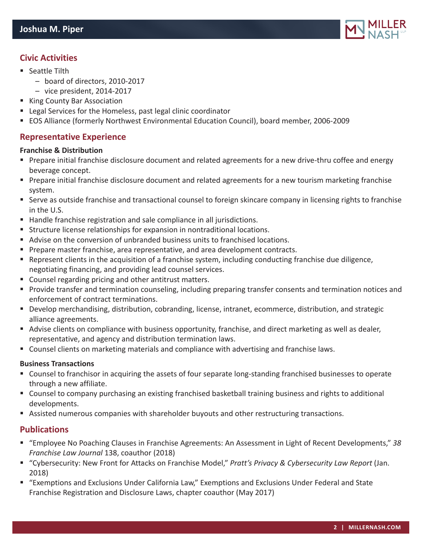

# **Civic Activities**

- Seattle Tilth
	- board of directors, 2010-2017
	- vice president, 2014-2017
- King County Bar Association
- Legal Services for the Homeless, past legal clinic coordinator
- EOS Alliance (formerly Northwest Environmental Education Council), board member, 2006-2009

## **Representative Experience**

#### **Franchise & Distribution**

- Prepare initial franchise disclosure document and related agreements for a new drive-thru coffee and energy beverage concept.
- **Prepare initial franchise disclosure document and related agreements for a new tourism marketing franchise** system.
- Serve as outside franchise and transactional counsel to foreign skincare company in licensing rights to franchise in the U.S.
- Handle franchise registration and sale compliance in all jurisdictions.
- **Structure license relationships for expansion in nontraditional locations.**
- Advise on the conversion of unbranded business units to franchised locations.
- **Prepare master franchise, area representative, and area development contracts.**
- Represent clients in the acquisition of a franchise system, including conducting franchise due diligence, negotiating financing, and providing lead counsel services.
- Counsel regarding pricing and other antitrust matters.
- **Provide transfer and termination counseling, including preparing transfer consents and termination notices and** enforcement of contract terminations.
- Develop merchandising, distribution, cobranding, license, intranet, ecommerce, distribution, and strategic alliance agreements.
- Advise clients on compliance with business opportunity, franchise, and direct marketing as well as dealer, representative, and agency and distribution termination laws.
- Counsel clients on marketing materials and compliance with advertising and franchise laws.

#### **Business Transactions**

- Counsel to franchisor in acquiring the assets of four separate long-standing franchised businesses to operate through a new affiliate.
- Counsel to company purchasing an existing franchised basketball training business and rights to additional developments.
- Assisted numerous companies with shareholder buyouts and other restructuring transactions.

#### **Publications**

- "Employee No Poaching Clauses in Franchise Agreements: An Assessment in Light of Recent Developments," *38 Franchise Law Journal* 138, coauthor (2018)
- "Cybersecurity: New Front for Attacks on Franchise Model," *Pratt's Privacy & Cybersecurity Law Report* (Jan. 2018)
- "Exemptions and Exclusions Under California Law," Exemptions and Exclusions Under Federal and State Franchise Registration and Disclosure Laws, chapter coauthor (May 2017)